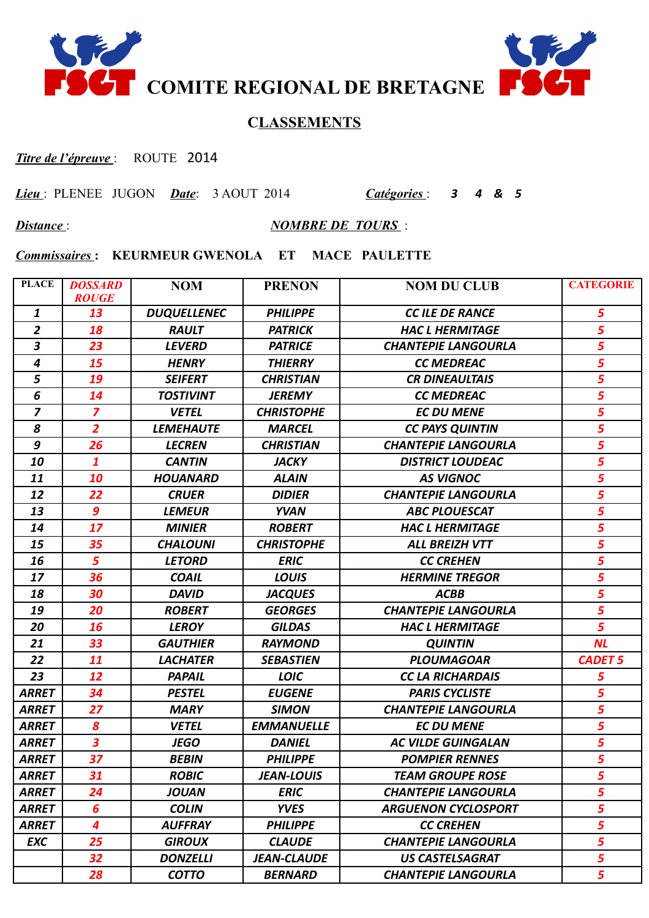



## **CLASSEMENTS**

*Titre de l'épreuve* : ROUTE 2014

*Lieu* : PLENEE JUGON *Date*: 3 AOUT 2014 *Catégories* : *3 4 & 5* 

*Distance* : *NOMBRE DE TOURS* :

*Commissaires* **: KEURMEUR GWENOLA ET MACE PAULETTE**

| <b>PLACE</b>            | <b>DOSSARD</b><br><b>ROUGE</b> | <b>NOM</b>         | <b>PRENON</b>      | <b>NOM DU CLUB</b>         | <b>CATEGORIE</b>        |
|-------------------------|--------------------------------|--------------------|--------------------|----------------------------|-------------------------|
| $\mathbf{1}$            | 13                             | <b>DUQUELLENEC</b> | <b>PHILIPPE</b>    | <b>CC ILE DE RANCE</b>     | 5                       |
| $\overline{2}$          | 18                             | <b>RAULT</b>       | <b>PATRICK</b>     | <b>HAC L HERMITAGE</b>     | 5                       |
| $\overline{\mathbf{3}}$ | 23                             | <b>LEVERD</b>      | <b>PATRICE</b>     | <b>CHANTEPIE LANGOURLA</b> | $\overline{\mathbf{5}}$ |
| $\overline{\mathbf{4}}$ | 15                             | <b>HENRY</b>       | <b>THIERRY</b>     | <b>CC MEDREAC</b>          | $\overline{\mathbf{5}}$ |
| 5                       | 19                             | <b>SEIFERT</b>     | <b>CHRISTIAN</b>   | <b>CR DINEAULTAIS</b>      | $\overline{\mathbf{5}}$ |
| 6                       | 14                             | <b>TOSTIVINT</b>   | <b>JEREMY</b>      | <b>CC MEDREAC</b>          | $\overline{5}$          |
| $\overline{z}$          | $\overline{z}$                 | <b>VETEL</b>       | <b>CHRISTOPHE</b>  | <b>EC DU MENE</b>          | 5                       |
| 8                       | $\overline{2}$                 | <b>LEMEHAUTE</b>   | <b>MARCEL</b>      | <b>CC PAYS QUINTIN</b>     | $\overline{5}$          |
| 9                       | 26                             | <b>LECREN</b>      | <b>CHRISTIAN</b>   | <b>CHANTEPIE LANGOURLA</b> | 5                       |
| 10                      | 1                              | <b>CANTIN</b>      | <b>JACKY</b>       | <b>DISTRICT LOUDEAC</b>    | 5                       |
| 11                      | 10                             | <b>HOUANARD</b>    | <b>ALAIN</b>       | <b>AS VIGNOC</b>           | 5                       |
| 12                      | 22                             | <b>CRUER</b>       | <b>DIDIER</b>      | <b>CHANTEPIE LANGOURLA</b> | 5                       |
| 13                      | 9                              | <b>LEMEUR</b>      | <b>YVAN</b>        | <b>ABC PLOUESCAT</b>       | 5                       |
| 14                      | 17                             | <b>MINIER</b>      | <b>ROBERT</b>      | <b>HAC L HERMITAGE</b>     | 5                       |
| 15                      | 35                             | <b>CHALOUNI</b>    | <b>CHRISTOPHE</b>  | <b>ALL BREIZH VTT</b>      | 5                       |
| 16                      | 5                              | <b>LETORD</b>      | <b>ERIC</b>        | <b>CC CREHEN</b>           | $\overline{5}$          |
| 17                      | 36                             | <b>COAIL</b>       | <b>LOUIS</b>       | <b>HERMINE TREGOR</b>      | $\overline{\mathbf{5}}$ |
| 18                      | 30                             | <b>DAVID</b>       | <b>JACQUES</b>     | <b>ACBB</b>                | $\overline{\mathbf{5}}$ |
| 19                      | 20                             | <b>ROBERT</b>      | <b>GEORGES</b>     | <b>CHANTEPIE LANGOURLA</b> | $\overline{5}$          |
| 20                      | 16                             | <b>LEROY</b>       | <b>GILDAS</b>      | <b>HAC L HERMITAGE</b>     | 5                       |
| 21                      | 33                             | <b>GAUTHIER</b>    | <b>RAYMOND</b>     | <b>QUINTIN</b>             | <b>NL</b>               |
| 22                      | 11                             | <b>LACHATER</b>    | <b>SEBASTIEN</b>   | <b>PLOUMAGOAR</b>          | <b>CADET 5</b>          |
| 23                      | 12                             | <b>PAPAIL</b>      | <b>LOIC</b>        | <b>CC LA RICHARDAIS</b>    | 5                       |
| <b>ARRET</b>            | 34                             | <b>PESTEL</b>      | <b>EUGENE</b>      | <b>PARIS CYCLISTE</b>      | 5                       |
| <b>ARRET</b>            | 27                             | <b>MARY</b>        | <b>SIMON</b>       | <b>CHANTEPIE LANGOURLA</b> | $\overline{\mathbf{5}}$ |
| <b>ARRET</b>            | 8                              | <b>VETEL</b>       | <b>EMMANUELLE</b>  | <b>EC DU MENE</b>          | 5                       |
| <b>ARRET</b>            | $\overline{\mathbf{3}}$        | <b>JEGO</b>        | <b>DANIEL</b>      | <b>AC VILDE GUINGALAN</b>  | $\overline{\mathbf{5}}$ |
| <b>ARRET</b>            | 37                             | <b>BEBIN</b>       | <b>PHILIPPE</b>    | <b>POMPIER RENNES</b>      | $\overline{5}$          |
| <b>ARRET</b>            | 31                             | <b>ROBIC</b>       | <b>JEAN-LOUIS</b>  | <b>TEAM GROUPE ROSE</b>    | 5                       |
| <b>ARRET</b>            | 24                             | <b>JOUAN</b>       | <b>ERIC</b>        | <b>CHANTEPIE LANGOURLA</b> | 5                       |
| <b>ARRET</b>            | 6                              | <b>COLIN</b>       | <b>YVES</b>        | <b>ARGUENON CYCLOSPORT</b> | 5                       |
| <b>ARRET</b>            | $\overline{\mathbf{4}}$        | <b>AUFFRAY</b>     | <b>PHILIPPE</b>    | <b>CC CREHEN</b>           | 5                       |
| <b>EXC</b>              | 25                             | <b>GIROUX</b>      | <b>CLAUDE</b>      | <b>CHANTEPIE LANGOURLA</b> | 5                       |
|                         | 32                             | <b>DONZELLI</b>    | <b>JEAN-CLAUDE</b> | <b>US CASTELSAGRAT</b>     | 5                       |
|                         | 28                             | <b>COTTO</b>       | <b>BERNARD</b>     | <b>CHANTEPIE LANGOURLA</b> | 5                       |
|                         |                                |                    |                    |                            |                         |